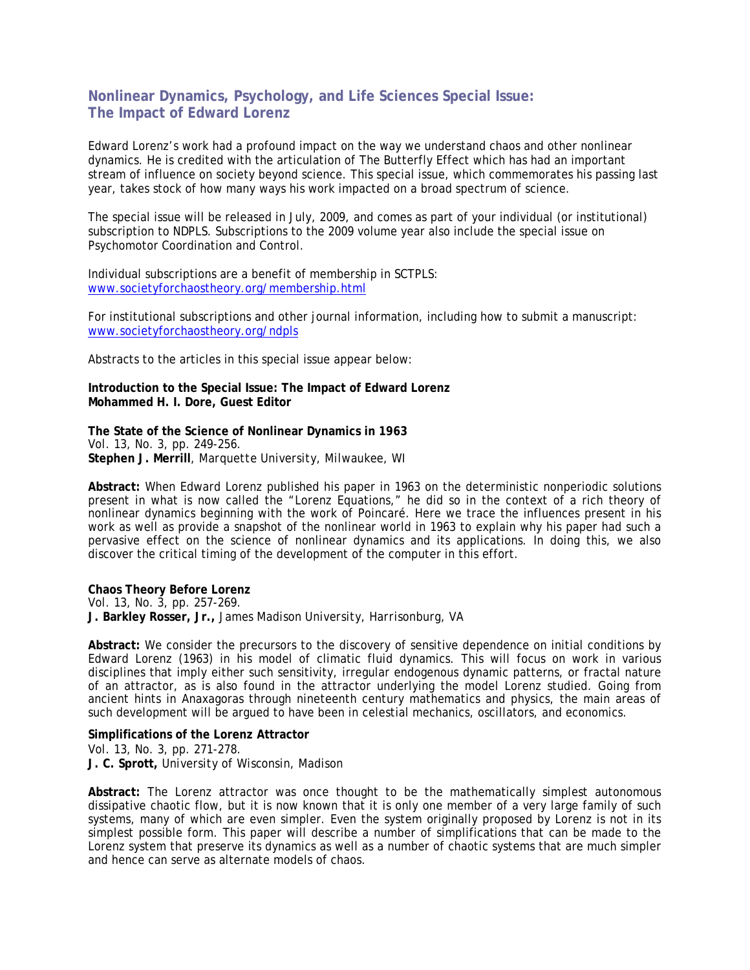## **Nonlinear Dynamics, Psychology, and Life Sciences Special Issue: The Impact of Edward Lorenz**

Edward Lorenz's work had a profound impact on the way we understand chaos and other nonlinear dynamics. He is credited with the articulation of The Butterfly Effect which has had an important stream of influence on society beyond science. This special issue, which commemorates his passing last year, takes stock of how many ways his work impacted on a broad spectrum of science.

The special issue will be released in July, 2009, and comes as part of your individual (or institutional) subscription to NDPLS. Subscriptions to the 2009 volume year also include the special issue on Psychomotor Coordination and Control.

Individual subscriptions are a benefit of membership in SCTPLS: www.societyforchaostheory.org/membership.html

For institutional subscriptions and other journal information, including how to submit a manuscript: www.societyforchaostheory.org/ndpls

Abstracts to the articles in this special issue appear below:

**Introduction to the Special Issue: The Impact of Edward Lorenz Mohammed H. I. Dore, Guest Editor** 

**The State of the Science of Nonlinear Dynamics in 1963**  *Vol. 13, No. 3, pp. 249-256.*  **Stephen J. Merrill**, *Marquette University, Milwaukee, WI* 

**Abstract:** When Edward Lorenz published his paper in 1963 on the deterministic nonperiodic solutions present in what is now called the "Lorenz Equations," he did so in the context of a rich theory of nonlinear dynamics beginning with the work of Poincaré. Here we trace the influences present in his work as well as provide a snapshot of the nonlinear world in 1963 to explain why his paper had such a pervasive effect on the science of nonlinear dynamics and its applications. In doing this, we also discover the critical timing of the development of the computer in this effort.

**Chaos Theory Before Lorenz**  *Vol. 13, No. 3, pp. 257-269.*  **J. Barkley Rosser, Jr.,** *James Madison University, Harrisonburg, VA*

**Abstract:** We consider the precursors to the discovery of sensitive dependence on initial conditions by Edward Lorenz (1963) in his model of climatic fluid dynamics. This will focus on work in various disciplines that imply either such sensitivity, irregular endogenous dynamic patterns, or fractal nature of an attractor, as is also found in the attractor underlying the model Lorenz studied. Going from ancient hints in Anaxagoras through nineteenth century mathematics and physics, the main areas of such development will be argued to have been in celestial mechanics, oscillators, and economics.

**Simplifications of the Lorenz Attractor**  *Vol. 13, No. 3, pp. 271-278.* **J. C. Sprott,** *University of Wisconsin, Madison*

**Abstract:** The Lorenz attractor was once thought to be the mathematically simplest autonomous dissipative chaotic flow, but it is now known that it is only one member of a very large family of such systems, many of which are even simpler. Even the system originally proposed by Lorenz is not in its simplest possible form. This paper will describe a number of simplifications that can be made to the Lorenz system that preserve its dynamics as well as a number of chaotic systems that are much simpler and hence can serve as alternate models of chaos.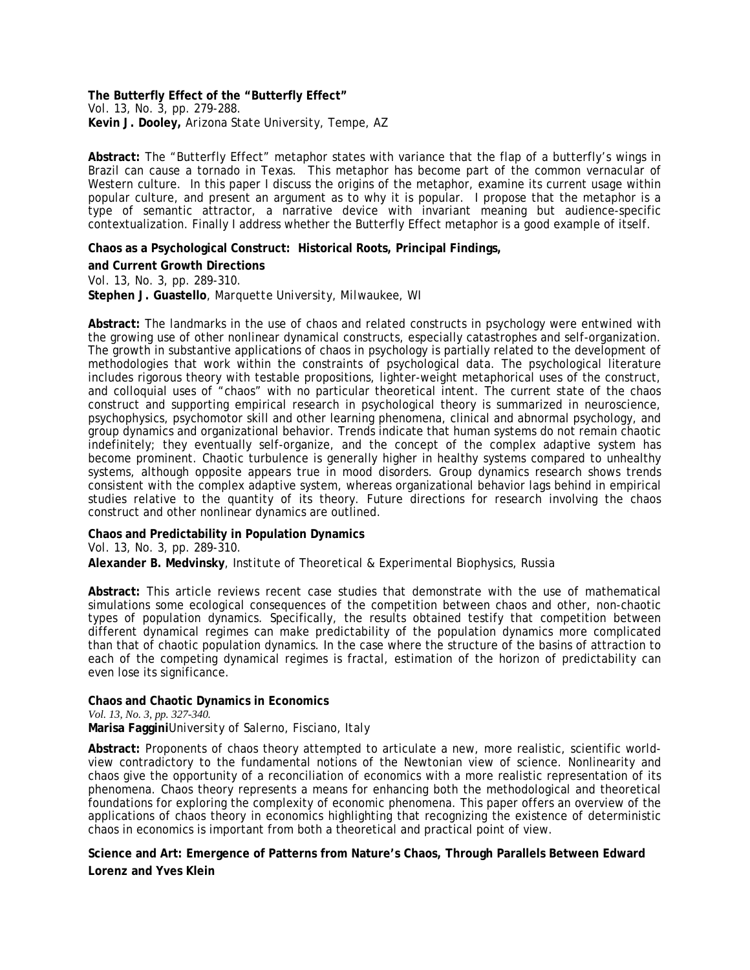**The Butterfly Effect of the "Butterfly Effect"**  *Vol. 13, No. 3, pp. 279-288.*  **Kevin J. Dooley,** *Arizona State University, Tempe, AZ*

**Abstract:** The "Butterfly Effect" metaphor states with variance that the flap of a butterfly's wings in Brazil can cause a tornado in Texas. This metaphor has become part of the common vernacular of Western culture. In this paper I discuss the origins of the metaphor, examine its current usage within popular culture, and present an argument as to why it is popular. I propose that the metaphor is a type of semantic attractor, a narrative device with invariant meaning but audience-specific contextualization. Finally I address whether the Butterfly Effect metaphor is a good example of itself.

**Chaos as a Psychological Construct: Historical Roots, Principal Findings,** 

**and Current Growth Directions**  *Vol. 13, No. 3, pp. 289-310.* **Stephen J. Guastello**, *Marquette University, Milwaukee, WI* 

**Abstract:** The landmarks in the use of chaos and related constructs in psychology were entwined with the growing use of other nonlinear dynamical constructs, especially catastrophes and self-organization. The growth in substantive applications of chaos in psychology is partially related to the development of methodologies that work within the constraints of psychological data. The psychological literature includes rigorous theory with testable propositions, lighter-weight metaphorical uses of the construct, and colloquial uses of "chaos" with no particular theoretical intent. The current state of the chaos construct and supporting empirical research in psychological theory is summarized in neuroscience, psychophysics, psychomotor skill and other learning phenomena, clinical and abnormal psychology, and group dynamics and organizational behavior. Trends indicate that human systems do not remain chaotic indefinitely; they eventually self-organize, and the concept of the complex adaptive system has become prominent. Chaotic turbulence is generally higher in healthy systems compared to unhealthy systems, although opposite appears true in mood disorders. Group dynamics research shows trends consistent with the complex adaptive system, whereas organizational behavior lags behind in empirical studies relative to the quantity of its theory. Future directions for research involving the chaos construct and other nonlinear dynamics are outlined.

**Chaos and Predictability in Population Dynamics** 

*Vol. 13, No. 3, pp. 289-310.*

**Alexander B. Medvinsky**, *Institute of Theoretical & Experimental Biophysics, Russia*

**Abstract:** This article reviews recent case studies that demonstrate with the use of mathematical simulations some ecological consequences of the competition between chaos and other, non-chaotic types of population dynamics. Specifically, the results obtained testify that competition between different dynamical regimes can make predictability of the population dynamics more complicated than that of chaotic population dynamics. In the case where the structure of the basins of attraction to each of the competing dynamical regimes is fractal, estimation of the horizon of predictability can even lose its significance.

**Chaos and Chaotic Dynamics in Economics**  *Vol. 13, No. 3, pp. 327-340.*  **Marisa Faggini***University of Salerno, Fisciano, Italy* 

**Abstract:** Proponents of chaos theory attempted to articulate a new, more realistic, scientific worldview contradictory to the fundamental notions of the Newtonian view of science. Nonlinearity and chaos give the opportunity of a reconciliation of economics with a more realistic representation of its phenomena. Chaos theory represents a means for enhancing both the methodological and theoretical foundations for exploring the complexity of economic phenomena. This paper offers an overview of the applications of chaos theory in economics highlighting that recognizing the existence of deterministic chaos in economics is important from both a theoretical and practical point of view.

**Science and Art: Emergence of Patterns from Nature's Chaos, Through Parallels Between Edward Lorenz and Yves Klein**